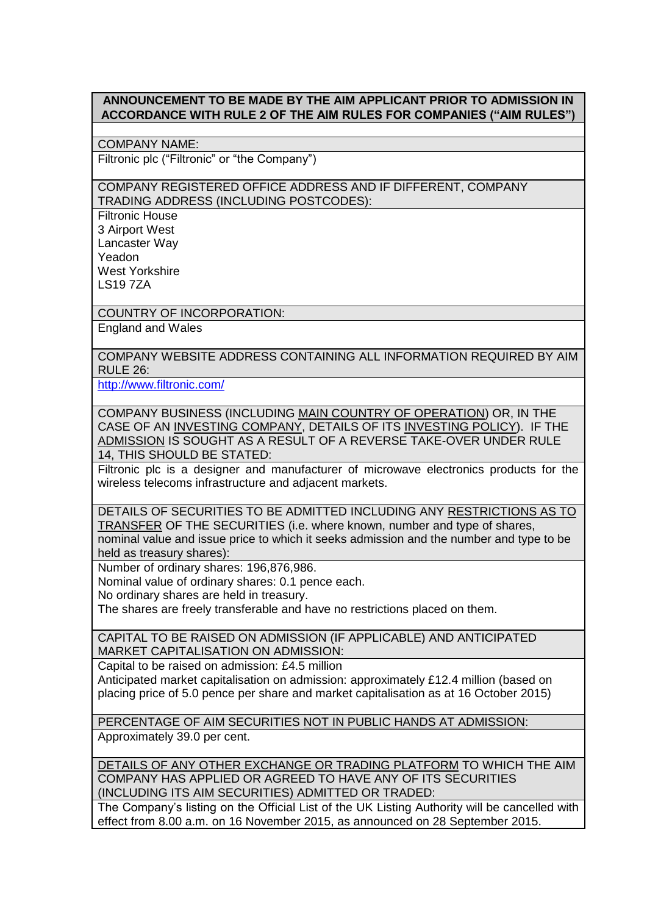## **ANNOUNCEMENT TO BE MADE BY THE AIM APPLICANT PRIOR TO ADMISSION IN ACCORDANCE WITH RULE 2 OF THE AIM RULES FOR COMPANIES ("AIM RULES")**

COMPANY NAME:

Filtronic plc ("Filtronic" or "the Company")

## COMPANY REGISTERED OFFICE ADDRESS AND IF DIFFERENT, COMPANY TRADING ADDRESS (INCLUDING POSTCODES):

Filtronic House 3 Airport West Lancaster Way Yeadon West Yorkshire LS19 7ZA

COUNTRY OF INCORPORATION: England and Wales

COMPANY WEBSITE ADDRESS CONTAINING ALL INFORMATION REQUIRED BY AIM  $RIII F 26$ 

<http://www.filtronic.com/>

COMPANY BUSINESS (INCLUDING MAIN COUNTRY OF OPERATION) OR, IN THE CASE OF AN INVESTING COMPANY, DETAILS OF ITS INVESTING POLICY). IF THE ADMISSION IS SOUGHT AS A RESULT OF A REVERSE TAKE-OVER UNDER RULE 14, THIS SHOULD BE STATED:

Filtronic plc is a designer and manufacturer of microwave electronics products for the wireless telecoms infrastructure and adjacent markets.

DETAILS OF SECURITIES TO BE ADMITTED INCLUDING ANY RESTRICTIONS AS TO TRANSFER OF THE SECURITIES (i.e. where known, number and type of shares, nominal value and issue price to which it seeks admission and the number and type to be held as treasury shares):

Number of ordinary shares: 196,876,986.

Nominal value of ordinary shares: 0.1 pence each.

No ordinary shares are held in treasury.

The shares are freely transferable and have no restrictions placed on them.

CAPITAL TO BE RAISED ON ADMISSION (IF APPLICABLE) AND ANTICIPATED MARKET CAPITALISATION ON ADMISSION:

Capital to be raised on admission: £4.5 million Anticipated market capitalisation on admission: approximately £12.4 million (based on placing price of 5.0 pence per share and market capitalisation as at 16 October 2015)

PERCENTAGE OF AIM SECURITIES NOT IN PUBLIC HANDS AT ADMISSION:

Approximately 39.0 per cent.

DETAILS OF ANY OTHER EXCHANGE OR TRADING PLATFORM TO WHICH THE AIM COMPANY HAS APPLIED OR AGREED TO HAVE ANY OF ITS SECURITIES (INCLUDING ITS AIM SECURITIES) ADMITTED OR TRADED:

The Company's listing on the Official List of the UK Listing Authority will be cancelled with effect from 8.00 a.m. on 16 November 2015, as announced on 28 September 2015.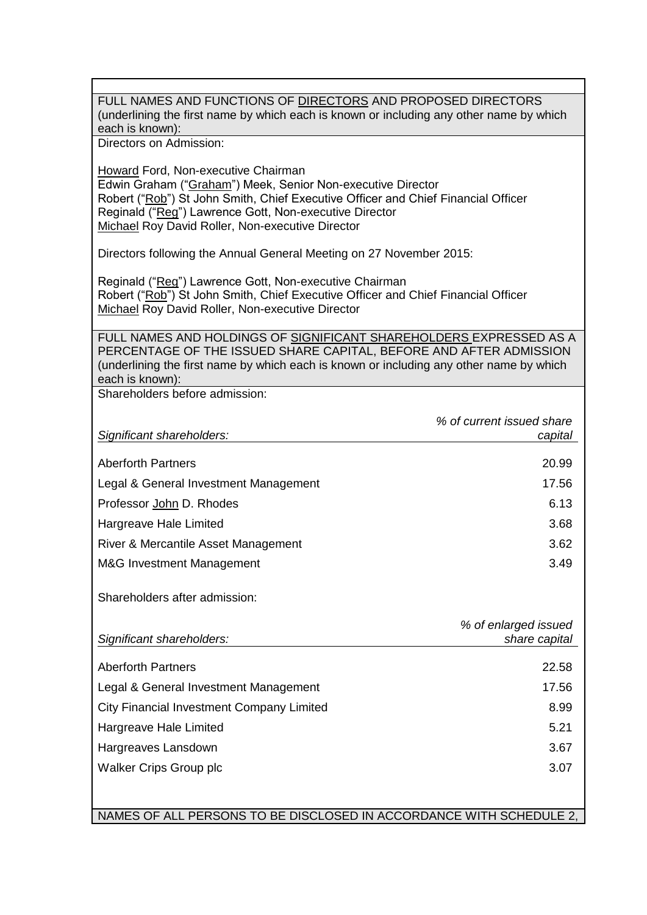FULL NAMES AND FUNCTIONS OF DIRECTORS AND PROPOSED DIRECTORS (underlining the first name by which each is known or including any other name by which each is known): Directors on Admission: Howard Ford, Non-executive Chairman Edwin Graham ("Graham") Meek, Senior Non-executive Director Robert ("Rob") St John Smith, Chief Executive Officer and Chief Financial Officer Reginald ("Reg") Lawrence Gott, Non-executive Director Michael Roy David Roller, Non-executive Director Directors following the Annual General Meeting on 27 November 2015: Reginald ("Reg") Lawrence Gott, Non-executive Chairman Robert ("Rob") St John Smith, Chief Executive Officer and Chief Financial Officer Michael Roy David Roller, Non-executive Director FULL NAMES AND HOLDINGS OF SIGNIFICANT SHAREHOLDERS EXPRESSED AS A PERCENTAGE OF THE ISSUED SHARE CAPITAL, BEFORE AND AFTER ADMISSION (underlining the first name by which each is known or including any other name by which each is known): Shareholders before admission: *Significant shareholders: % of current issued share capital* Aberforth Partners 20.99 Legal & General Investment Management 17.56 Professor John D. Rhodes 6.13 Hargreave Hale Limited 3.68 River & Mercantile Asset Management 3.62 M&G Investment Management 3.49 Shareholders after admission: *Significant shareholders: % of enlarged issued share capital* Aberforth Partners 22.58 Legal & General Investment Management 17.56 City Financial Investment Company Limited 8.99 Hargreave Hale Limited 5.21 Hargreaves Lansdown 3.67 Walker Crips Group plc 3.07 NAMES OF ALL PERSONS TO BE DISCLOSED IN ACCORDANCE WITH SCHEDULE 2,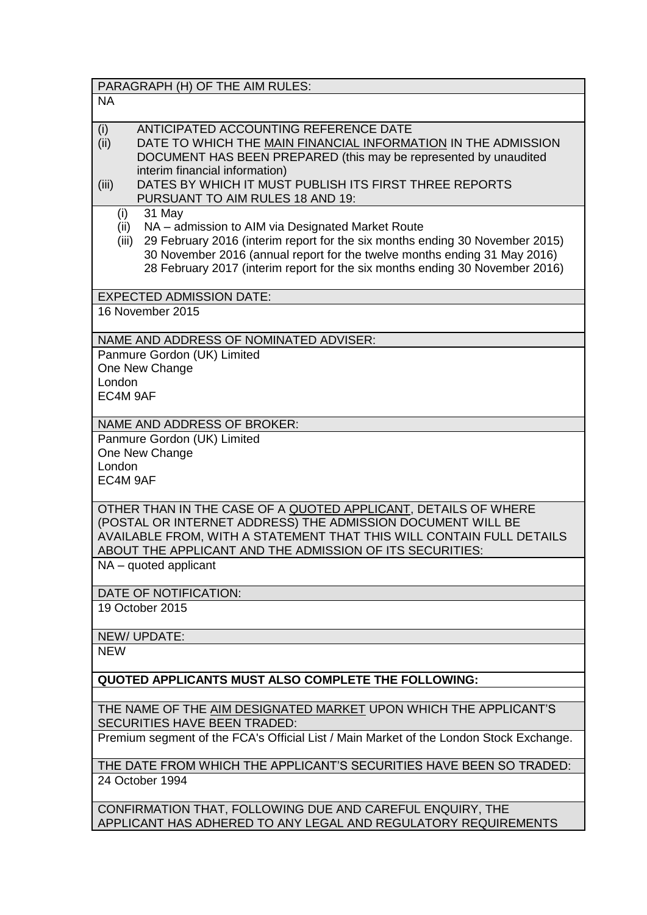| PARAGRAPH (H) OF THE AIM RULES:                                                                                                     |
|-------------------------------------------------------------------------------------------------------------------------------------|
| <b>NA</b>                                                                                                                           |
|                                                                                                                                     |
| ANTICIPATED ACCOUNTING REFERENCE DATE<br>(i)                                                                                        |
| (ii)<br>DATE TO WHICH THE MAIN FINANCIAL INFORMATION IN THE ADMISSION                                                               |
| DOCUMENT HAS BEEN PREPARED (this may be represented by unaudited<br>interim financial information)                                  |
| DATES BY WHICH IT MUST PUBLISH ITS FIRST THREE REPORTS<br>(iii)                                                                     |
| PURSUANT TO AIM RULES 18 AND 19:                                                                                                    |
| 31 May<br>(i)                                                                                                                       |
| NA - admission to AIM via Designated Market Route<br>(ii)                                                                           |
| 29 February 2016 (interim report for the six months ending 30 November 2015)<br>(iii)                                               |
| 30 November 2016 (annual report for the twelve months ending 31 May 2016)                                                           |
| 28 February 2017 (interim report for the six months ending 30 November 2016)                                                        |
| <b>EXPECTED ADMISSION DATE:</b>                                                                                                     |
| 16 November 2015                                                                                                                    |
|                                                                                                                                     |
| NAME AND ADDRESS OF NOMINATED ADVISER:                                                                                              |
| Panmure Gordon (UK) Limited                                                                                                         |
| One New Change                                                                                                                      |
| London                                                                                                                              |
| EC4M 9AF                                                                                                                            |
| NAME AND ADDRESS OF BROKER:                                                                                                         |
| Panmure Gordon (UK) Limited                                                                                                         |
| One New Change                                                                                                                      |
| London                                                                                                                              |
| EC4M 9AF                                                                                                                            |
|                                                                                                                                     |
| OTHER THAN IN THE CASE OF A QUOTED APPLICANT, DETAILS OF WHERE                                                                      |
| (POSTAL OR INTERNET ADDRESS) THE ADMISSION DOCUMENT WILL BE<br>AVAILABLE FROM, WITH A STATEMENT THAT THIS WILL CONTAIN FULL DETAILS |
| ABOUT THE APPLICANT AND THE ADMISSION OF ITS SECURITIES:                                                                            |
| $NA - quoted$ applicant                                                                                                             |
|                                                                                                                                     |
| DATE OF NOTIFICATION:                                                                                                               |
| 19 October 2015                                                                                                                     |
|                                                                                                                                     |
| NEW/UPDATE:                                                                                                                         |
| <b>NEW</b>                                                                                                                          |
| <b>QUOTED APPLICANTS MUST ALSO COMPLETE THE FOLLOWING:</b>                                                                          |
|                                                                                                                                     |
| THE NAME OF THE AIM DESIGNATED MARKET UPON WHICH THE APPLICANT'S                                                                    |
| <b>SECURITIES HAVE BEEN TRADED:</b>                                                                                                 |
| Premium segment of the FCA's Official List / Main Market of the London Stock Exchange.                                              |
| THE DATE FROM WHICH THE APPLICANT'S SECURITIES HAVE BEEN SO TRADED:                                                                 |
| 24 October 1994                                                                                                                     |
| CONFIDIAATION THAT FOLLOWING DUE AND CADEFUL ENOUDY THE                                                                             |

CONFIRMATION THAT, FOLLOWING DUE AND CAREFUL ENQUIRY, THE APPLICANT HAS ADHERED TO ANY LEGAL AND REGULATORY REQUIREMENTS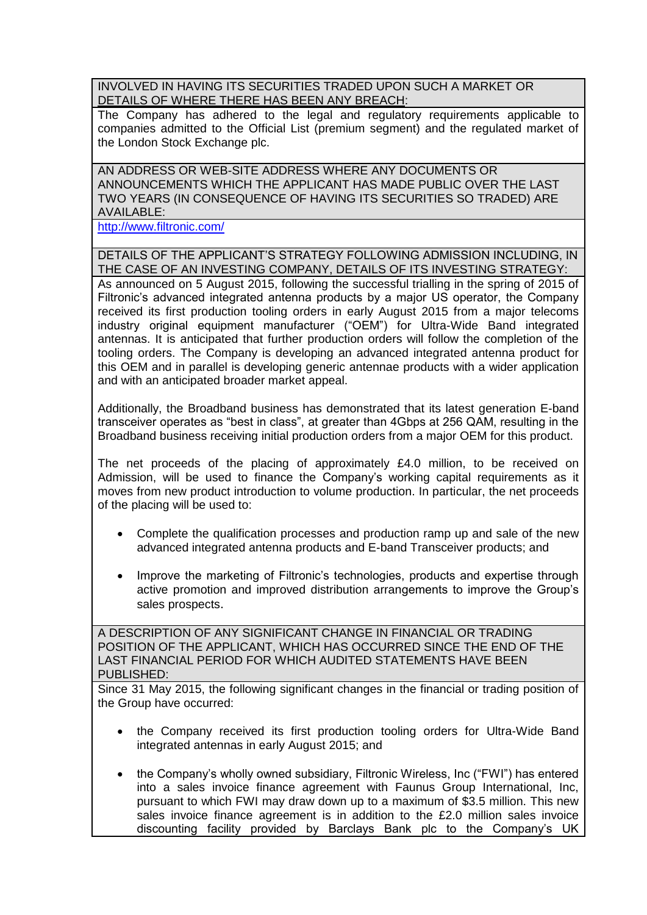INVOLVED IN HAVING ITS SECURITIES TRADED UPON SUCH A MARKET OR DETAILS OF WHERE THERE HAS BEEN ANY BREACH:

The Company has adhered to the legal and regulatory requirements applicable to companies admitted to the Official List (premium segment) and the regulated market of the London Stock Exchange plc.

AN ADDRESS OR WEB-SITE ADDRESS WHERE ANY DOCUMENTS OR ANNOUNCEMENTS WHICH THE APPLICANT HAS MADE PUBLIC OVER THE LAST TWO YEARS (IN CONSEQUENCE OF HAVING ITS SECURITIES SO TRADED) ARE AVAILABLE:

<http://www.filtronic.com/>

DETAILS OF THE APPLICANT'S STRATEGY FOLLOWING ADMISSION INCLUDING, IN THE CASE OF AN INVESTING COMPANY, DETAILS OF ITS INVESTING STRATEGY: As announced on 5 August 2015, following the successful trialling in the spring of 2015 of Filtronic's advanced integrated antenna products by a major US operator, the Company received its first production tooling orders in early August 2015 from a major telecoms industry original equipment manufacturer ("OEM") for Ultra-Wide Band integrated antennas. It is anticipated that further production orders will follow the completion of the tooling orders. The Company is developing an advanced integrated antenna product for this OEM and in parallel is developing generic antennae products with a wider application and with an anticipated broader market appeal.

Additionally, the Broadband business has demonstrated that its latest generation E-band transceiver operates as "best in class", at greater than 4Gbps at 256 QAM, resulting in the Broadband business receiving initial production orders from a major OEM for this product.

The net proceeds of the placing of approximately £4.0 million, to be received on Admission, will be used to finance the Company's working capital requirements as it moves from new product introduction to volume production. In particular, the net proceeds of the placing will be used to:

- Complete the qualification processes and production ramp up and sale of the new advanced integrated antenna products and E-band Transceiver products; and
- Improve the marketing of Filtronic's technologies, products and expertise through active promotion and improved distribution arrangements to improve the Group's sales prospects.

A DESCRIPTION OF ANY SIGNIFICANT CHANGE IN FINANCIAL OR TRADING POSITION OF THE APPLICANT, WHICH HAS OCCURRED SINCE THE END OF THE LAST FINANCIAL PERIOD FOR WHICH AUDITED STATEMENTS HAVE BEEN PUBLISHED:

Since 31 May 2015, the following significant changes in the financial or trading position of the Group have occurred:

- the Company received its first production tooling orders for Ultra-Wide Band integrated antennas in early August 2015; and
- the Company's wholly owned subsidiary, Filtronic Wireless, Inc ("FWI") has entered into a sales invoice finance agreement with Faunus Group International, Inc, pursuant to which FWI may draw down up to a maximum of \$3.5 million. This new sales invoice finance agreement is in addition to the £2.0 million sales invoice discounting facility provided by Barclays Bank plc to the Company's UK